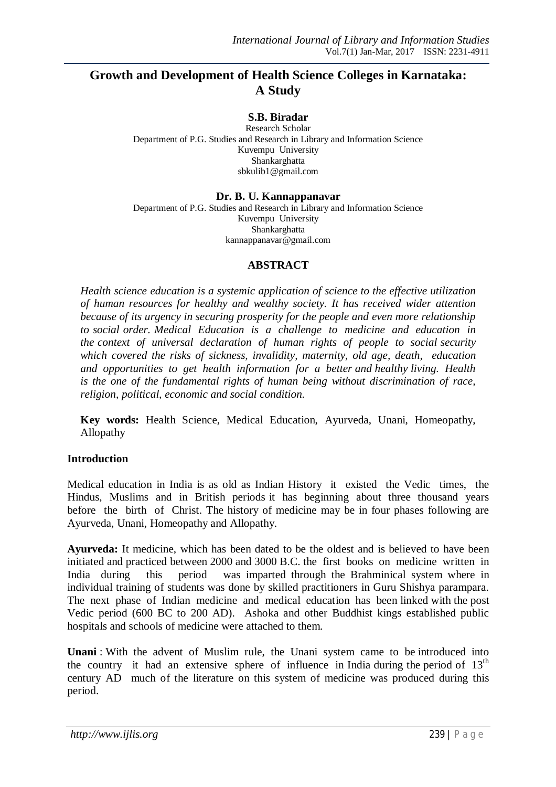# **Growth and Development of Health Science Colleges in Karnataka: A Study**

## **S.B. Biradar**

Research Scholar Department of P.G. Studies and Research in Library and Information Science Kuvempu University Shankarghatta sbkulib1@gmail.com

# **Dr. B. U. Kannappanavar**

Department of P.G. Studies and Research in Library and Information Science Kuvempu University Shankarghatta kannappanavar@gmail.com

### **ABSTRACT**

*Health science education is a systemic application of science to the effective utilization of human resources for healthy and wealthy society. It has received wider attention because of its urgency in securing prosperity for the people and even more relationship to social order. Medical Education is a challenge to medicine and education in the context of universal declaration of human rights of people to social security which covered the risks of sickness, invalidity, maternity, old age, death, education and opportunities to get health information for a better and healthy living. Health is the one of the fundamental rights of human being without discrimination of race, religion, political, economic and social condition.* 

**Key words:** Health Science, Medical Education, Ayurveda, Unani, Homeopathy, Allopathy

#### **Introduction**

Medical education in India is as old as Indian History it existed the Vedic times, the Hindus, Muslims and in British periods it has beginning about three thousand years before the birth of Christ. The history of medicine may be in four phases following are Ayurveda, Unani, Homeopathy and Allopathy.

**Ayurveda:** It medicine, which has been dated to be the oldest and is believed to have been initiated and practiced between 2000 and 3000 B.C. the first books on medicine written in India during this period was imparted through the Brahminical system where in individual training of students was done by skilled practitioners in Guru Shishya parampara. The next phase of Indian medicine and medical education has been linked with the post Vedic period (600 BC to 200 AD). Ashoka and other Buddhist kings established public hospitals and schools of medicine were attached to them.

**Unani** : With the advent of Muslim rule, the Unani system came to be introduced into the country it had an extensive sphere of influence in India during the period of  $13<sup>th</sup>$ century AD much of the literature on this system of medicine was produced during this period.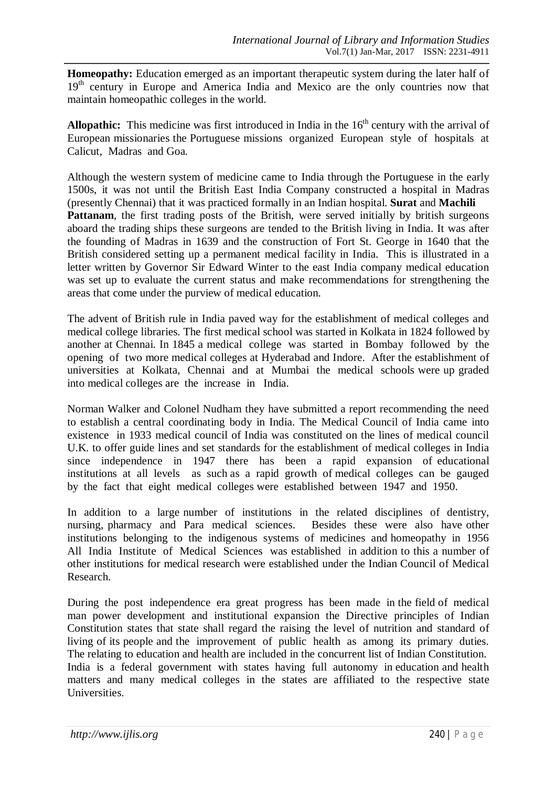**Homeopathy:** Education emerged as an important therapeutic system during the later half of 19<sup>th</sup> century in Europe and America India and Mexico are the only countries now that maintain homeopathic colleges in the world.

**Allopathic:** This medicine was first introduced in India in the  $16<sup>th</sup>$  century with the arrival of European missionaries the Portuguese missions organized European style of hospitals at Calicut, Madras and Goa.

Although the western system of medicine came to India through the Portuguese in the early 1500s, it was not until the British East India Company constructed a hospital in Madras (presently Chennai) that it was practiced formally in an Indian hospital. **Surat** and **Machili**  Pattanam, the first trading posts of the British, were served initially by british surgeons aboard the trading ships these surgeons are tended to the British living in India. It was after the founding of Madras in 1639 and the construction of Fort St. George in 1640 that the British considered setting up a permanent medical facility in India. This is illustrated in a letter written by Governor Sir Edward Winter to the east India company medical education was set up to evaluate the current status and make recommendations for strengthening the areas that come under the purview of medical education.

The advent of British rule in India paved way for the establishment of medical colleges and medical college libraries. The first medical school was started in Kolkata in 1824 followed by another at Chennai. In 1845 a medical college was started in Bombay followed by the opening of two more medical colleges at Hyderabad and Indore. After the establishment of universities at Kolkata, Chennai and at Mumbai the medical schools were up graded into medical colleges are the increase in India.

Norman Walker and Colonel Nudham they have submitted a report recommending the need to establish a central coordinating body in India. The Medical Council of India came into existence in 1933 medical council of India was constituted on the lines of medical council U.K. to offer guide lines and set standards for the establishment of medical colleges in India since independence in 1947 there has been a rapid expansion of educational institutions at all levels as such as a rapid growth of medical colleges can be gauged by the fact that eight medical colleges were established between 1947 and 1950.

In addition to a large number of institutions in the related disciplines of dentistry, nursing, pharmacy and Para medical sciences. Besides these were also have other institutions belonging to the indigenous systems of medicines and homeopathy in 1956 All India Institute of Medical Sciences was established in addition to this a number of other institutions for medical research were established under the Indian Council of Medical Research.

During the post independence era great progress has been made in the field of medical man power development and institutional expansion the Directive principles of Indian Constitution states that state shall regard the raising the level of nutrition and standard of living of its people and the improvement of public health as among its primary duties. The relating to education and health are included in the concurrent list of Indian Constitution. India is a federal government with states having full autonomy in education and health matters and many medical colleges in the states are affiliated to the respective state Universities.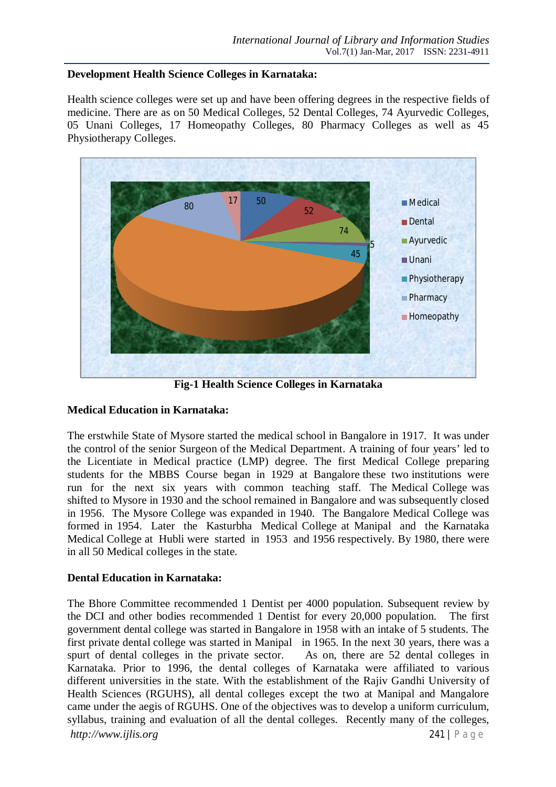### **Development Health Science Colleges in Karnataka:**

Health science colleges were set up and have been offering degrees in the respective fields of medicine. There are as on 50 Medical Colleges, 52 Dental Colleges, 74 Ayurvedic Colleges, 05 Unani Colleges, 17 Homeopathy Colleges, 80 Pharmacy Colleges as well as 45 Physiotherapy Colleges.



**Fig-1 Health Science Colleges in Karnataka**

## **Medical Education in Karnataka:**

The erstwhile State of Mysore started the medical school in Bangalore in 1917. It was under the control of the senior Surgeon of the Medical Department. A training of four years' led to the Licentiate in Medical practice (LMP) degree. The first Medical College preparing students for the MBBS Course began in 1929 at Bangalore these two institutions were run for the next six years with common teaching staff. The Medical College was shifted to Mysore in 1930 and the school remained in Bangalore and was subsequently closed in 1956. The Mysore College was expanded in 1940. The Bangalore Medical College was formed in 1954. Later the Kasturbha Medical College at Manipal and the Karnataka Medical College at Hubli were started in 1953 and 1956 respectively. By 1980, there were in all 50 Medical colleges in the state.

## **Dental Education in Karnataka:**

*http://www.ijlis.org* 241 | P a g e The Bhore Committee recommended 1 Dentist per 4000 population. Subsequent review by the DCI and other bodies recommended 1 Dentist for every 20,000 population. The first government dental college was started in Bangalore in 1958 with an intake of 5 students. The first private dental college was started in Manipal in 1965. In the next 30 years, there was a spurt of dental colleges in the private sector. As on, there are 52 dental colleges in Karnataka. Prior to 1996, the dental colleges of Karnataka were affiliated to various different universities in the state. With the establishment of the Rajiv Gandhi University of Health Sciences (RGUHS), all dental colleges except the two at Manipal and Mangalore came under the aegis of RGUHS. One of the objectives was to develop a uniform curriculum, syllabus, training and evaluation of all the dental colleges. Recently many of the colleges,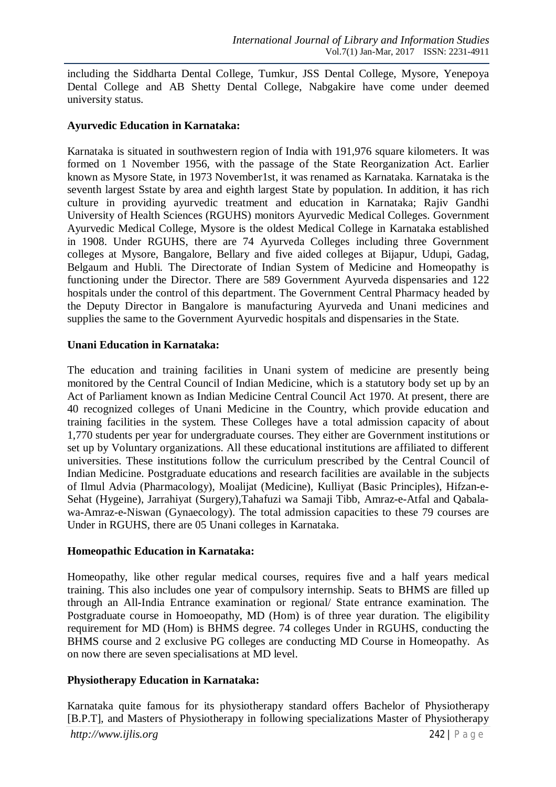including the Siddharta Dental College, Tumkur, JSS Dental College, Mysore, Yenepoya Dental College and AB Shetty Dental College, Nabgakire have come under deemed university status.

#### **Ayurvedic Education in Karnataka:**

Karnataka is situated in southwestern region of India with 191,976 square kilometers. It was formed on 1 November 1956, with the passage of the State Reorganization Act. Earlier known as Mysore State, in 1973 November1st, it was renamed as Karnataka. Karnataka is the seventh largest Sstate by area and eighth largest State by population. In addition, it has rich culture in providing ayurvedic treatment and education in Karnataka; Rajiv Gandhi University of Health Sciences (RGUHS) monitors Ayurvedic Medical Colleges. Government Ayurvedic Medical College, Mysore is the oldest Medical College in Karnataka established in 1908. Under RGUHS, there are 74 Ayurveda Colleges including three Government colleges at Mysore, Bangalore, Bellary and five aided colleges at Bijapur, Udupi, Gadag, Belgaum and Hubli. The Directorate of Indian System of Medicine and Homeopathy is functioning under the Director. There are 589 Government Ayurveda dispensaries and 122 hospitals under the control of this department. The Government Central Pharmacy headed by the Deputy Director in Bangalore is manufacturing Ayurveda and Unani medicines and supplies the same to the Government Ayurvedic hospitals and dispensaries in the State.

### **Unani Education in Karnataka:**

The education and training facilities in Unani system of medicine are presently being monitored by the Central Council of Indian Medicine, which is a statutory body set up by an Act of Parliament known as Indian Medicine Central Council Act 1970. At present, there are 40 recognized colleges of Unani Medicine in the Country, which provide education and training facilities in the system. These Colleges have a total admission capacity of about 1,770 students per year for undergraduate courses. They either are Government institutions or set up by Voluntary organizations. All these educational institutions are affiliated to different universities. These institutions follow the curriculum prescribed by the Central Council of Indian Medicine. Postgraduate educations and research facilities are available in the subjects of Ilmul Advia (Pharmacology), Moalijat (Medicine), Kulliyat (Basic Principles), Hifzan-e-Sehat (Hygeine), Jarrahiyat (Surgery),Tahafuzi wa Samaji Tibb, Amraz-e-Atfal and Qabalawa-Amraz-e-Niswan (Gynaecology). The total admission capacities to these 79 courses are Under in RGUHS, there are 05 Unani colleges in Karnataka.

## **Homeopathic Education in Karnataka:**

Homeopathy, like other regular medical courses, requires five and a half years medical training. This also includes one year of compulsory internship. Seats to BHMS are filled up through an All-India Entrance examination or regional/ State entrance examination. The Postgraduate course in Homoeopathy, MD (Hom) is of three year duration. The eligibility requirement for MD (Hom) is BHMS degree. 74 colleges Under in RGUHS, conducting the BHMS course and 2 exclusive PG colleges are conducting MD Course in Homeopathy. As on now there are seven specialisations at MD level.

## **Physiotherapy Education in Karnataka:**

*http://www.ijlis.org* 242 | P a g e Karnataka quite famous for its physiotherapy standard offers Bachelor of Physiotherapy [B.P.T], and Masters of Physiotherapy in following specializations Master of Physiotherapy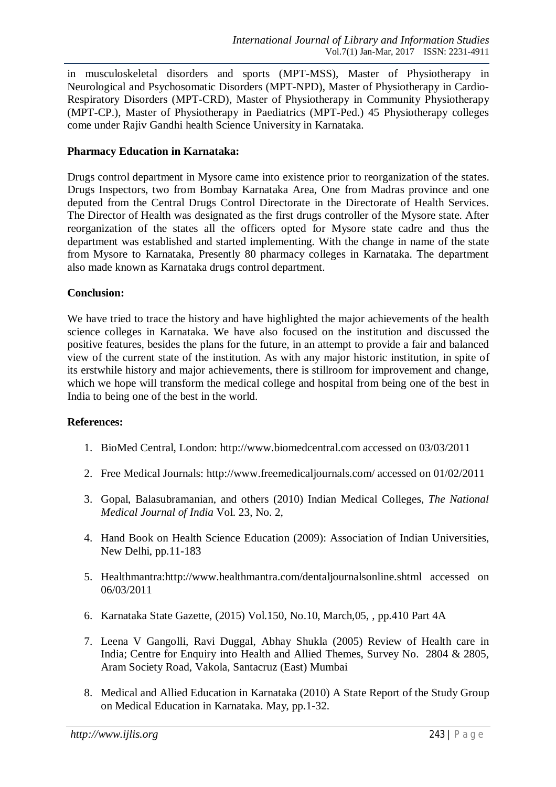in musculoskeletal disorders and sports (MPT-MSS), Master of Physiotherapy in Neurological and Psychosomatic Disorders (MPT-NPD), Master of Physiotherapy in Cardio-Respiratory Disorders (MPT-CRD), Master of Physiotherapy in Community Physiotherapy (MPT-CP.), Master of Physiotherapy in Paediatrics (MPT-Ped.) 45 Physiotherapy colleges come under Rajiv Gandhi health Science University in Karnataka.

## **Pharmacy Education in Karnataka:**

Drugs control department in Mysore came into existence prior to reorganization of the states. Drugs Inspectors, two from Bombay Karnataka Area, One from Madras province and one deputed from the Central Drugs Control Directorate in the Directorate of Health Services. The Director of Health was designated as the first drugs controller of the Mysore state. After reorganization of the states all the officers opted for Mysore state cadre and thus the department was established and started implementing. With the change in name of the state from Mysore to Karnataka, Presently 80 pharmacy colleges in Karnataka. The department also made known as Karnataka drugs control department.

### **Conclusion:**

We have tried to trace the history and have highlighted the major achievements of the health science colleges in Karnataka. We have also focused on the institution and discussed the positive features, besides the plans for the future, in an attempt to provide a fair and balanced view of the current state of the institution. As with any major historic institution, in spite of its erstwhile history and major achievements, there is stillroom for improvement and change, which we hope will transform the medical college and hospital from being one of the best in India to being one of the best in the world.

#### **References:**

- 1. BioMed Central, London: http://www.biomedcentral.com accessed on 03/03/2011
- 2. Free Medical Journals: http://www.freemedicaljournals.com/ accessed on 01/02/2011
- 3. Gopal, Balasubramanian, and others (2010) Indian Medical Colleges, *The National Medical Journal of India* Vol. 23, No. 2,
- 4. Hand Book on Health Science Education (2009): Association of Indian Universities, New Delhi, pp.11-183
- 5. Healthmantra:http://www.healthmantra.com/dentaljournalsonline.shtml accessed on 06/03/2011
- 6. Karnataka State Gazette, (2015) Vol.150, No.10, March,05, , pp.410 Part 4A
- 7. Leena V Gangolli, Ravi Duggal, Abhay Shukla (2005) Review of Health care in India; Centre for Enquiry into Health and Allied Themes, Survey No. 2804 & 2805, Aram Society Road, Vakola, Santacruz (East) Mumbai
- 8. Medical and Allied Education in Karnataka (2010) A State Report of the Study Group on Medical Education in Karnataka. May, pp.1-32.